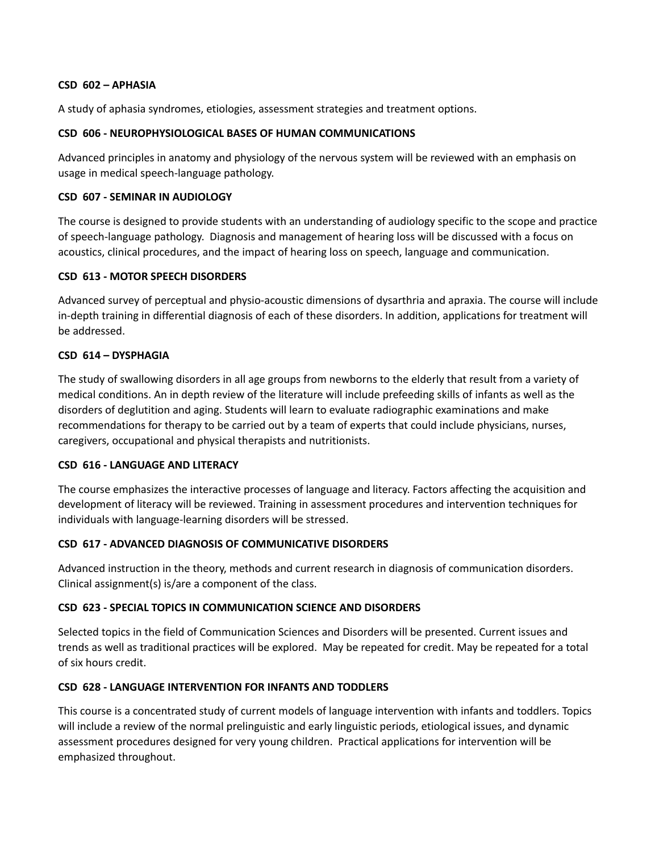#### **CSD 602 – APHASIA**

A study of aphasia syndromes, etiologies, assessment strategies and treatment options.

#### **CSD 606 - NEUROPHYSIOLOGICAL BASES OF HUMAN COMMUNICATIONS**

Advanced principles in anatomy and physiology of the nervous system will be reviewed with an emphasis on usage in medical speech-language pathology.

#### **CSD 607 - SEMINAR IN AUDIOLOGY**

The course is designed to provide students with an understanding of audiology specific to the scope and practice of speech-language pathology. Diagnosis and management of hearing loss will be discussed with a focus on acoustics, clinical procedures, and the impact of hearing loss on speech, language and communication.

#### **CSD 613 - MOTOR SPEECH DISORDERS**

Advanced survey of perceptual and physio-acoustic dimensions of dysarthria and apraxia. The course will include in-depth training in differential diagnosis of each of these disorders. In addition, applications for treatment will be addressed.

#### **CSD 614 – DYSPHAGIA**

The study of swallowing disorders in all age groups from newborns to the elderly that result from a variety of medical conditions. An in depth review of the literature will include prefeeding skills of infants as well as the disorders of deglutition and aging. Students will learn to evaluate radiographic examinations and make recommendations for therapy to be carried out by a team of experts that could include physicians, nurses, caregivers, occupational and physical therapists and nutritionists.

#### **CSD 616 - LANGUAGE AND LITERACY**

The course emphasizes the interactive processes of language and literacy. Factors affecting the acquisition and development of literacy will be reviewed. Training in assessment procedures and intervention techniques for individuals with language-learning disorders will be stressed.

#### **CSD 617 - ADVANCED DIAGNOSIS OF COMMUNICATIVE DISORDERS**

Advanced instruction in the theory, methods and current research in diagnosis of communication disorders. Clinical assignment(s) is/are a component of the class.

#### **CSD 623 - SPECIAL TOPICS IN COMMUNICATION SCIENCE AND DISORDERS**

Selected topics in the field of Communication Sciences and Disorders will be presented. Current issues and trends as well as traditional practices will be explored. May be repeated for credit. May be repeated for a total of six hours credit.

#### **CSD 628 - LANGUAGE INTERVENTION FOR INFANTS AND TODDLERS**

This course is a concentrated study of current models of language intervention with infants and toddlers. Topics will include a review of the normal prelinguistic and early linguistic periods, etiological issues, and dynamic assessment procedures designed for very young children. Practical applications for intervention will be emphasized throughout.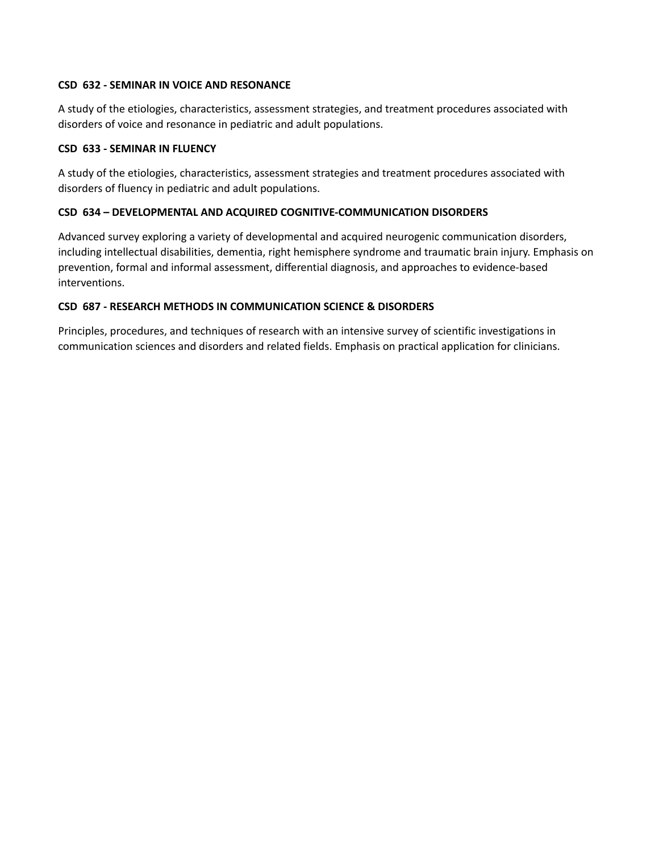### **CSD 632 - SEMINAR IN VOICE AND RESONANCE**

A study of the etiologies, characteristics, assessment strategies, and treatment procedures associated with disorders of voice and resonance in pediatric and adult populations.

### **CSD 633 - SEMINAR IN FLUENCY**

A study of the etiologies, characteristics, assessment strategies and treatment procedures associated with disorders of fluency in pediatric and adult populations.

# **CSD 634 – DEVELOPMENTAL AND ACQUIRED COGNITIVE-COMMUNICATION DISORDERS**

Advanced survey exploring a variety of developmental and acquired neurogenic communication disorders, including intellectual disabilities, dementia, right hemisphere syndrome and traumatic brain injury. Emphasis on prevention, formal and informal assessment, differential diagnosis, and approaches to evidence-based interventions.

## **CSD 687 - RESEARCH METHODS IN COMMUNICATION SCIENCE & DISORDERS**

Principles, procedures, and techniques of research with an intensive survey of scientific investigations in communication sciences and disorders and related fields. Emphasis on practical application for clinicians.